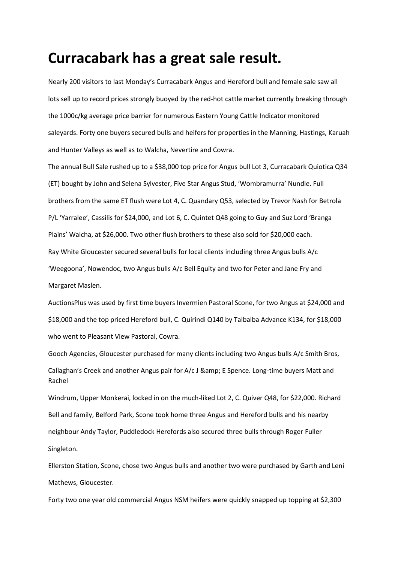## **Curracabark has a great sale result.**

Nearly 200 visitors to last Monday's Curracabark Angus and Hereford bull and female sale saw all lots sell up to record prices strongly buoyed by the red-hot cattle market currently breaking through the 1000c/kg average price barrier for numerous Eastern Young Cattle Indicator monitored saleyards. Forty one buyers secured bulls and heifers for properties in the Manning, Hastings, Karuah and Hunter Valleys as well as to Walcha, Nevertire and Cowra.

The annual Bull Sale rushed up to a \$38,000 top price for Angus bull Lot 3, Curracabark Quiotica Q34 (ET) bought by John and Selena Sylvester, Five Star Angus Stud, 'Wombramurra' Nundle. Full brothers from the same ET flush were Lot 4, C. Quandary Q53, selected by Trevor Nash for Betrola P/L 'Yarralee', Cassilis for \$24,000, and Lot 6, C. Quintet Q48 going to Guy and Suz Lord 'Branga Plains' Walcha, at \$26,000. Two other flush brothers to these also sold for \$20,000 each. Ray White Gloucester secured several bulls for local clients including three Angus bulls A/c 'Weegoona', Nowendoc, two Angus bulls A/c Bell Equity and two for Peter and Jane Fry and Margaret Maslen.

AuctionsPlus was used by first time buyers Invermien Pastoral Scone, for two Angus at \$24,000 and \$18,000 and the top priced Hereford bull, C. Quirindi Q140 by Talbalba Advance K134, for \$18,000 who went to Pleasant View Pastoral, Cowra.

Gooch Agencies, Gloucester purchased for many clients including two Angus bulls A/c Smith Bros, Callaghan's Creek and another Angus pair for A/c J & amp; E Spence. Long-time buyers Matt and Rachel

Windrum, Upper Monkerai, locked in on the much-liked Lot 2, C. Quiver Q48, for \$22,000. Richard Bell and family, Belford Park, Scone took home three Angus and Hereford bulls and his nearby neighbour Andy Taylor, Puddledock Herefords also secured three bulls through Roger Fuller Singleton.

Ellerston Station, Scone, chose two Angus bulls and another two were purchased by Garth and Leni Mathews, Gloucester.

Forty two one year old commercial Angus NSM heifers were quickly snapped up topping at \$2,300